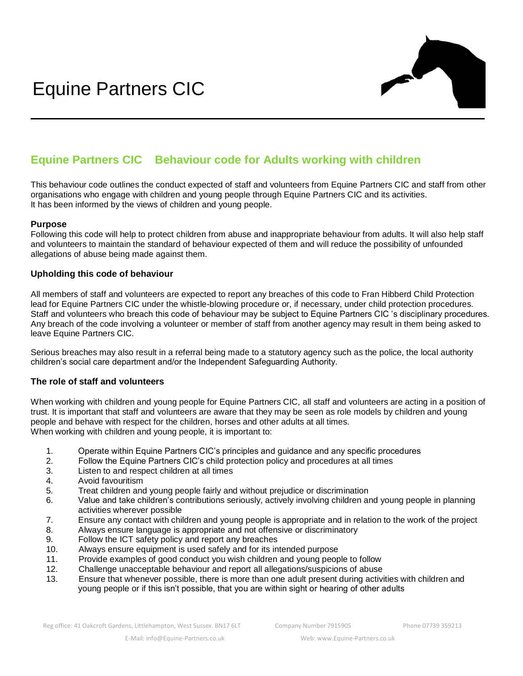

# **Equine Partners CIC Behaviour code for Adults working with children**

This behaviour code outlines the conduct expected of staff and volunteers from Equine Partners CIC and staff from other organisations who engage with children and young people through Equine Partners CIC and its activities. It has been informed by the views of children and young people.

# **Purpose**

Following this code will help to protect children from abuse and inappropriate behaviour from adults. It will also help staff and volunteers to maintain the standard of behaviour expected of them and will reduce the possibility of unfounded allegations of abuse being made against them.

# **Upholding this code of behaviour**

All members of staff and volunteers are expected to report any breaches of this code to Fran Hibberd Child Protection lead for Equine Partners CIC under the whistle-blowing procedure or, if necessary, under child protection procedures. Staff and volunteers who breach this code of behaviour may be subject to Equine Partners CIC 's disciplinary procedures. Any breach of the code involving a volunteer or member of staff from another agency may result in them being asked to leave Equine Partners CIC.

Serious breaches may also result in a referral being made to a statutory agency such as the police, the local authority children's social care department and/or the Independent Safeguarding Authority.

#### **The role of staff and volunteers**

When working with children and young people for Equine Partners CIC, all staff and volunteers are acting in a position of trust. It is important that staff and volunteers are aware that they may be seen as role models by children and young people and behave with respect for the children, horses and other adults at all times. When working with children and young people, it is important to:

- 1. Operate within Equine Partners CIC's principles and guidance and any specific procedures
- 2. Follow the Equine Partners CIC's child protection policy and procedures at all times
- 3. Listen to and respect children at all times
- 4. Avoid favouritism
- 5. Treat children and young people fairly and without prejudice or discrimination
- 6. Value and take children's contributions seriously, actively involving children and young people in planning activities wherever possible
- 7. Ensure any contact with children and young people is appropriate and in relation to the work of the project
- 8. Always ensure language is appropriate and not offensive or discriminatory
- 9. Follow the ICT safety policy and report any breaches
- 10. Always ensure equipment is used safely and for its intended purpose
- 11. Provide examples of good conduct you wish children and young people to follow
- 12. Challenge unacceptable behaviour and report all allegations/suspicions of abuse
- 13. Ensure that whenever possible, there is more than one adult present during activities with children and young people or if this isn't possible, that you are within sight or hearing of other adults